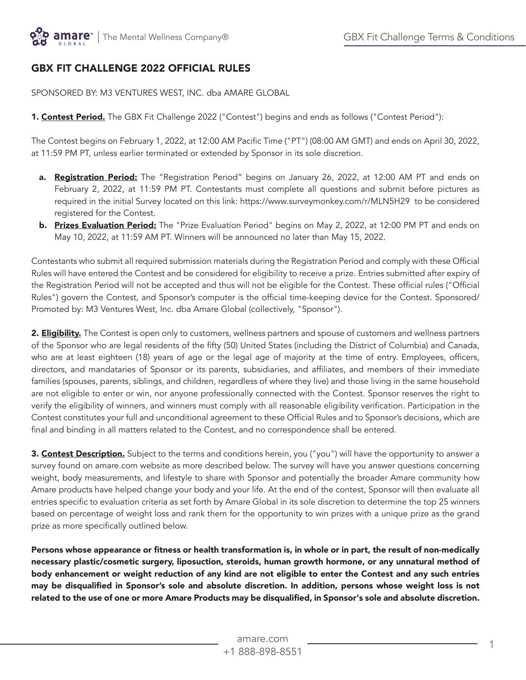# GBX FIT CHALLENGE 2022 OFFICIAL RULES

SPONSORED BY: M3 VENTURES WEST, INC. dba AMARE GLOBAL

1. Contest Period. The GBX Fit Challenge 2022 ("Contest") begins and ends as follows ("Contest Period"):

The Contest begins on February 1, 2022, at 12:00 AM Pacific Time ("PT") (08:00 AM GMT) and ends on April 30, 2022, at 11:59 PM PT, unless earlier terminated or extended by Sponsor in its sole discretion.

- a. Registration Period: The "Registration Period" begins on January 26, 2022, at 12:00 AM PT and ends on February 2, 2022, at 11:59 PM PT. Contestants must complete all questions and submit before pictures as required in the initial Survey located on this link: https://www.surveymonkey.com/r/MLN5H29 to be considered registered for the Contest.
- **b.** Prizes Evaluation Period: The "Prize Evaluation Period" begins on May 2, 2022, at 12:00 PM PT and ends on May 10, 2022, at 11:59 AM PT. Winners will be announced no later than May 15, 2022.

Contestants who submit all required submission materials during the Registration Period and comply with these Official Rules will have entered the Contest and be considered for eligibility to receive a prize. Entries submitted after expiry of the Registration Period will not be accepted and thus will not be eligible for the Contest. These official rules ("Official Rules") govern the Contest, and Sponsor's computer is the official time-keeping device for the Contest. Sponsored/ Promoted by: M3 Ventures West, Inc. dba Amare Global (collectively, "Sponsor").

2. **Eligibility.** The Contest is open only to customers, wellness partners and spouse of customers and wellness partners of the Sponsor who are legal residents of the fifty (50) United States (including the District of Columbia) and Canada, who are at least eighteen (18) years of age or the legal age of majority at the time of entry. Employees, officers, directors, and mandataries of Sponsor or its parents, subsidiaries, and affiliates, and members of their immediate families (spouses, parents, siblings, and children, regardless of where they live) and those living in the same household are not eligible to enter or win, nor anyone professionally connected with the Contest. Sponsor reserves the right to verify the eligibility of winners, and winners must comply with all reasonable eligibility verification. Participation in the Contest constitutes your full and unconditional agreement to these Official Rules and to Sponsor's decisions, which are final and binding in all matters related to the Contest, and no correspondence shall be entered.

3. Contest Description. Subject to the terms and conditions herein, you ("you") will have the opportunity to answer a survey found on amare.com website as more described below. The survey will have you answer questions concerning weight, body measurements, and lifestyle to share with Sponsor and potentially the broader Amare community how Amare products have helped change your body and your life. At the end of the contest, Sponsor will then evaluate all entries specific to evaluation criteria as set forth by Amare Global in its sole discretion to determine the top 25 winners based on percentage of weight loss and rank them for the opportunity to win prizes with a unique prize as the grand prize as more specifically outlined below.

Persons whose appearance or fitness or health transformation is, in whole or in part, the result of non-medically necessary plastic/cosmetic surgery, liposuction, steroids, human growth hormone, or any unnatural method of body enhancement or weight reduction of any kind are not eligible to enter the Contest and any such entries may be disqualified in Sponsor's sole and absolute discretion. In addition, persons whose weight loss is not related to the use of one or more Amare Products may be disqualified, in Sponsor's sole and absolute discretion.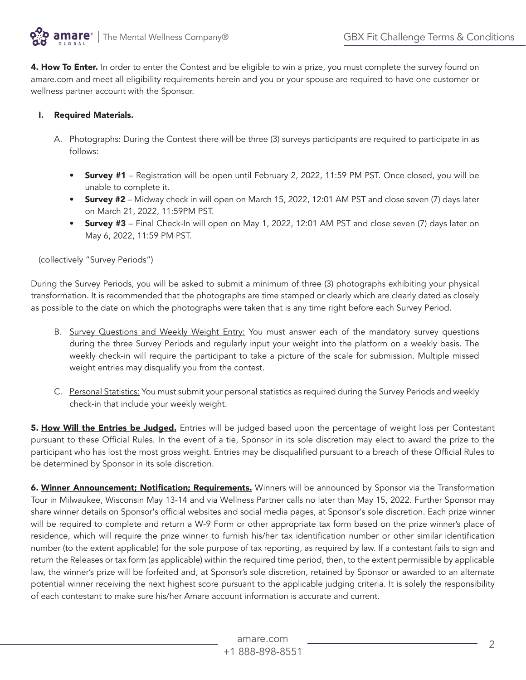

4. How To Enter. In order to enter the Contest and be eligible to win a prize, you must complete the survey found on amare.com and meet all eligibility requirements herein and you or your spouse are required to have one customer or wellness partner account with the Sponsor.

# I. Required Materials.

- A. Photographs: During the Contest there will be three (3) surveys participants are required to participate in as follows:
	- **Survey #1** Registration will be open until February 2, 2022, 11:59 PM PST. Once closed, you will be unable to complete it.
	- Survey #2 Midway check in will open on March 15, 2022, 12:01 AM PST and close seven (7) days later on March 21, 2022, 11:59PM PST.
	- **Survey #3** Final Check-In will open on May 1, 2022, 12:01 AM PST and close seven (7) days later on May 6, 2022, 11:59 PM PST.

#### (collectively "Survey Periods")

During the Survey Periods, you will be asked to submit a minimum of three (3) photographs exhibiting your physical transformation. It is recommended that the photographs are time stamped or clearly which are clearly dated as closely as possible to the date on which the photographs were taken that is any time right before each Survey Period.

- B. Survey Questions and Weekly Weight Entry: You must answer each of the mandatory survey questions during the three Survey Periods and regularly input your weight into the platform on a weekly basis. The weekly check-in will require the participant to take a picture of the scale for submission. Multiple missed weight entries may disqualify you from the contest.
- C. Personal Statistics: You must submit your personal statistics as required during the Survey Periods and weekly check-in that include your weekly weight.

5. How Will the Entries be Judged. Entries will be judged based upon the percentage of weight loss per Contestant pursuant to these Official Rules. In the event of a tie, Sponsor in its sole discretion may elect to award the prize to the participant who has lost the most gross weight. Entries may be disqualified pursuant to a breach of these Official Rules to be determined by Sponsor in its sole discretion.

6. Winner Announcement; Notification; Requirements. Winners will be announced by Sponsor via the Transformation Tour in Milwaukee, Wisconsin May 13-14 and via Wellness Partner calls no later than May 15, 2022. Further Sponsor may share winner details on Sponsor's official websites and social media pages, at Sponsor's sole discretion. Each prize winner will be required to complete and return a W-9 Form or other appropriate tax form based on the prize winner's place of residence, which will require the prize winner to furnish his/her tax identification number or other similar identification number (to the extent applicable) for the sole purpose of tax reporting, as required by law. If a contestant fails to sign and return the Releases or tax form (as applicable) within the required time period, then, to the extent permissible by applicable law, the winner's prize will be forfeited and, at Sponsor's sole discretion, retained by Sponsor or awarded to an alternate potential winner receiving the next highest score pursuant to the applicable judging criteria. It is solely the responsibility of each contestant to make sure his/her Amare account information is accurate and current.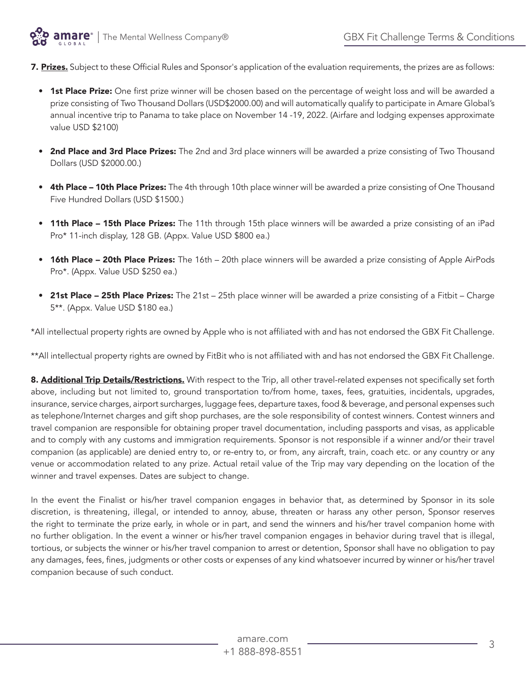

7. Prizes. Subject to these Official Rules and Sponsor's application of the evaluation requirements, the prizes are as follows:

- 1st Place Prize: One first prize winner will be chosen based on the percentage of weight loss and will be awarded a prize consisting of Two Thousand Dollars (USD\$2000.00) and will automatically qualify to participate in Amare Global's annual incentive trip to Panama to take place on November 14 -19, 2022. (Airfare and lodging expenses approximate value USD \$2100)
- 2nd Place and 3rd Place Prizes: The 2nd and 3rd place winners will be awarded a prize consisting of Two Thousand Dollars (USD \$2000.00.)
- 4th Place 10th Place Prizes: The 4th through 10th place winner will be awarded a prize consisting of One Thousand Five Hundred Dollars (USD \$1500.)
- 11th Place 15th Place Prizes: The 11th through 15th place winners will be awarded a prize consisting of an iPad Pro\* 11-inch display, 128 GB. (Appx. Value USD \$800 ea.)
- 16th Place 20th Place Prizes: The 16th 20th place winners will be awarded a prize consisting of Apple AirPods Pro\*. (Appx. Value USD \$250 ea.)
- 21st Place 25th Place Prizes: The 21st 25th place winner will be awarded a prize consisting of a Fitbit Charge 5\*\*. (Appx. Value USD \$180 ea.)

\*All intellectual property rights are owned by Apple who is not affiliated with and has not endorsed the GBX Fit Challenge.

\*\*All intellectual property rights are owned by FitBit who is not affiliated with and has not endorsed the GBX Fit Challenge.

8. Additional Trip Details/Restrictions. With respect to the Trip, all other travel-related expenses not specifically set forth above, including but not limited to, ground transportation to/from home, taxes, fees, gratuities, incidentals, upgrades, insurance, service charges, airport surcharges, luggage fees, departure taxes, food & beverage, and personal expenses such as telephone/Internet charges and gift shop purchases, are the sole responsibility of contest winners. Contest winners and travel companion are responsible for obtaining proper travel documentation, including passports and visas, as applicable and to comply with any customs and immigration requirements. Sponsor is not responsible if a winner and/or their travel companion (as applicable) are denied entry to, or re-entry to, or from, any aircraft, train, coach etc. or any country or any venue or accommodation related to any prize. Actual retail value of the Trip may vary depending on the location of the winner and travel expenses. Dates are subject to change.

In the event the Finalist or his/her travel companion engages in behavior that, as determined by Sponsor in its sole discretion, is threatening, illegal, or intended to annoy, abuse, threaten or harass any other person, Sponsor reserves the right to terminate the prize early, in whole or in part, and send the winners and his/her travel companion home with no further obligation. In the event a winner or his/her travel companion engages in behavior during travel that is illegal, tortious, or subjects the winner or his/her travel companion to arrest or detention, Sponsor shall have no obligation to pay any damages, fees, fines, judgments or other costs or expenses of any kind whatsoever incurred by winner or his/her travel companion because of such conduct.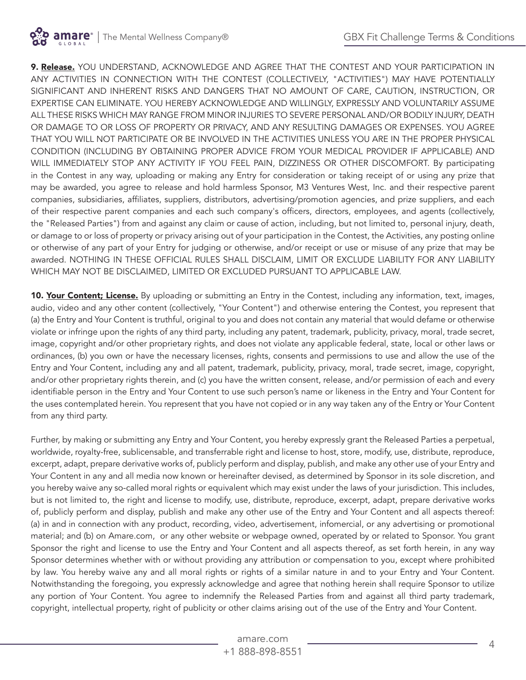9. Release. YOU UNDERSTAND, ACKNOWLEDGE AND AGREE THAT THE CONTEST AND YOUR PARTICIPATION IN ANY ACTIVITIES IN CONNECTION WITH THE CONTEST (COLLECTIVELY, "ACTIVITIES") MAY HAVE POTENTIALLY SIGNIFICANT AND INHERENT RISKS AND DANGERS THAT NO AMOUNT OF CARE, CAUTION, INSTRUCTION, OR EXPERTISE CAN ELIMINATE. YOU HEREBY ACKNOWLEDGE AND WILLINGLY, EXPRESSLY AND VOLUNTARILY ASSUME ALL THESE RISKS WHICH MAY RANGE FROM MINOR INJURIES TO SEVERE PERSONAL AND/OR BODILY INJURY, DEATH OR DAMAGE TO OR LOSS OF PROPERTY OR PRIVACY, AND ANY RESULTING DAMAGES OR EXPENSES. YOU AGREE THAT YOU WILL NOT PARTICIPATE OR BE INVOLVED IN THE ACTIVITIES UNLESS YOU ARE IN THE PROPER PHYSICAL CONDITION (INCLUDING BY OBTAINING PROPER ADVICE FROM YOUR MEDICAL PROVIDER IF APPLICABLE) AND WILL IMMEDIATELY STOP ANY ACTIVITY IF YOU FEEL PAIN, DIZZINESS OR OTHER DISCOMFORT. By participating in the Contest in any way, uploading or making any Entry for consideration or taking receipt of or using any prize that may be awarded, you agree to release and hold harmless Sponsor, M3 Ventures West, Inc. and their respective parent companies, subsidiaries, affiliates, suppliers, distributors, advertising/promotion agencies, and prize suppliers, and each of their respective parent companies and each such company's officers, directors, employees, and agents (collectively, the "Released Parties") from and against any claim or cause of action, including, but not limited to, personal injury, death, or damage to or loss of property or privacy arising out of your participation in the Contest, the Activities, any posting online or otherwise of any part of your Entry for judging or otherwise, and/or receipt or use or misuse of any prize that may be awarded. NOTHING IN THESE OFFICIAL RULES SHALL DISCLAIM, LIMIT OR EXCLUDE LIABILITY FOR ANY LIABILITY WHICH MAY NOT BE DISCLAIMED, LIMITED OR EXCLUDED PURSUANT TO APPLICABLE LAW.

10. Your Content; License. By uploading or submitting an Entry in the Contest, including any information, text, images, audio, video and any other content (collectively, "Your Content") and otherwise entering the Contest, you represent that (a) the Entry and Your Content is truthful, original to you and does not contain any material that would defame or otherwise violate or infringe upon the rights of any third party, including any patent, trademark, publicity, privacy, moral, trade secret, image, copyright and/or other proprietary rights, and does not violate any applicable federal, state, local or other laws or ordinances, (b) you own or have the necessary licenses, rights, consents and permissions to use and allow the use of the Entry and Your Content, including any and all patent, trademark, publicity, privacy, moral, trade secret, image, copyright, and/or other proprietary rights therein, and (c) you have the written consent, release, and/or permission of each and every identifiable person in the Entry and Your Content to use such person's name or likeness in the Entry and Your Content for the uses contemplated herein. You represent that you have not copied or in any way taken any of the Entry or Your Content from any third party.

Further, by making or submitting any Entry and Your Content, you hereby expressly grant the Released Parties a perpetual, worldwide, royalty-free, sublicensable, and transferrable right and license to host, store, modify, use, distribute, reproduce, excerpt, adapt, prepare derivative works of, publicly perform and display, publish, and make any other use of your Entry and Your Content in any and all media now known or hereinafter devised, as determined by Sponsor in its sole discretion, and you hereby waive any so-called moral rights or equivalent which may exist under the laws of your jurisdiction. This includes, but is not limited to, the right and license to modify, use, distribute, reproduce, excerpt, adapt, prepare derivative works of, publicly perform and display, publish and make any other use of the Entry and Your Content and all aspects thereof: (a) in and in connection with any product, recording, video, advertisement, infomercial, or any advertising or promotional material; and (b) on Amare.com, or any other website or webpage owned, operated by or related to Sponsor. You grant Sponsor the right and license to use the Entry and Your Content and all aspects thereof, as set forth herein, in any way Sponsor determines whether with or without providing any attribution or compensation to you, except where prohibited by law. You hereby waive any and all moral rights or rights of a similar nature in and to your Entry and Your Content. Notwithstanding the foregoing, you expressly acknowledge and agree that nothing herein shall require Sponsor to utilize any portion of Your Content. You agree to indemnify the Released Parties from and against all third party trademark, copyright, intellectual property, right of publicity or other claims arising out of the use of the Entry and Your Content.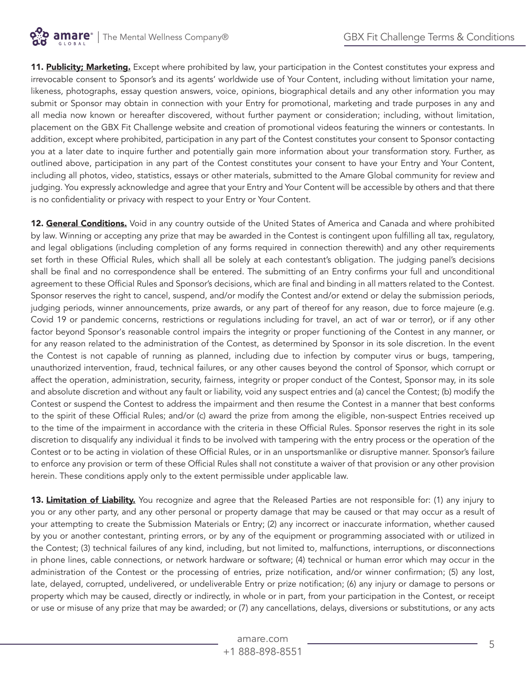

11. Publicity; Marketing. Except where prohibited by law, your participation in the Contest constitutes your express and irrevocable consent to Sponsor's and its agents' worldwide use of Your Content, including without limitation your name, likeness, photographs, essay question answers, voice, opinions, biographical details and any other information you may submit or Sponsor may obtain in connection with your Entry for promotional, marketing and trade purposes in any and all media now known or hereafter discovered, without further payment or consideration; including, without limitation, placement on the GBX Fit Challenge website and creation of promotional videos featuring the winners or contestants. In addition, except where prohibited, participation in any part of the Contest constitutes your consent to Sponsor contacting you at a later date to inquire further and potentially gain more information about your transformation story. Further, as outlined above, participation in any part of the Contest constitutes your consent to have your Entry and Your Content, including all photos, video, statistics, essays or other materials, submitted to the Amare Global community for review and judging. You expressly acknowledge and agree that your Entry and Your Content will be accessible by others and that there is no confidentiality or privacy with respect to your Entry or Your Content.

12. General Conditions. Void in any country outside of the United States of America and Canada and where prohibited by law. Winning or accepting any prize that may be awarded in the Contest is contingent upon fulfilling all tax, regulatory, and legal obligations (including completion of any forms required in connection therewith) and any other requirements set forth in these Official Rules, which shall all be solely at each contestant's obligation. The judging panel's decisions shall be final and no correspondence shall be entered. The submitting of an Entry confirms your full and unconditional agreement to these Official Rules and Sponsor's decisions, which are final and binding in all matters related to the Contest. Sponsor reserves the right to cancel, suspend, and/or modify the Contest and/or extend or delay the submission periods, judging periods, winner announcements, prize awards, or any part of thereof for any reason, due to force majeure (e.g. Covid 19 or pandemic concerns, restrictions or regulations including for travel, an act of war or terror), or if any other factor beyond Sponsor's reasonable control impairs the integrity or proper functioning of the Contest in any manner, or for any reason related to the administration of the Contest, as determined by Sponsor in its sole discretion. In the event the Contest is not capable of running as planned, including due to infection by computer virus or bugs, tampering, unauthorized intervention, fraud, technical failures, or any other causes beyond the control of Sponsor, which corrupt or affect the operation, administration, security, fairness, integrity or proper conduct of the Contest, Sponsor may, in its sole and absolute discretion and without any fault or liability, void any suspect entries and (a) cancel the Contest; (b) modify the Contest or suspend the Contest to address the impairment and then resume the Contest in a manner that best conforms to the spirit of these Official Rules; and/or (c) award the prize from among the eligible, non-suspect Entries received up to the time of the impairment in accordance with the criteria in these Official Rules. Sponsor reserves the right in its sole discretion to disqualify any individual it finds to be involved with tampering with the entry process or the operation of the Contest or to be acting in violation of these Official Rules, or in an unsportsmanlike or disruptive manner. Sponsor's failure to enforce any provision or term of these Official Rules shall not constitute a waiver of that provision or any other provision herein. These conditions apply only to the extent permissible under applicable law.

13. Limitation of Liability. You recognize and agree that the Released Parties are not responsible for: (1) any injury to you or any other party, and any other personal or property damage that may be caused or that may occur as a result of your attempting to create the Submission Materials or Entry; (2) any incorrect or inaccurate information, whether caused by you or another contestant, printing errors, or by any of the equipment or programming associated with or utilized in the Contest; (3) technical failures of any kind, including, but not limited to, malfunctions, interruptions, or disconnections in phone lines, cable connections, or network hardware or software; (4) technical or human error which may occur in the administration of the Contest or the processing of entries, prize notification, and/or winner confirmation; (5) any lost, late, delayed, corrupted, undelivered, or undeliverable Entry or prize notification; (6) any injury or damage to persons or property which may be caused, directly or indirectly, in whole or in part, from your participation in the Contest, or receipt or use or misuse of any prize that may be awarded; or (7) any cancellations, delays, diversions or substitutions, or any acts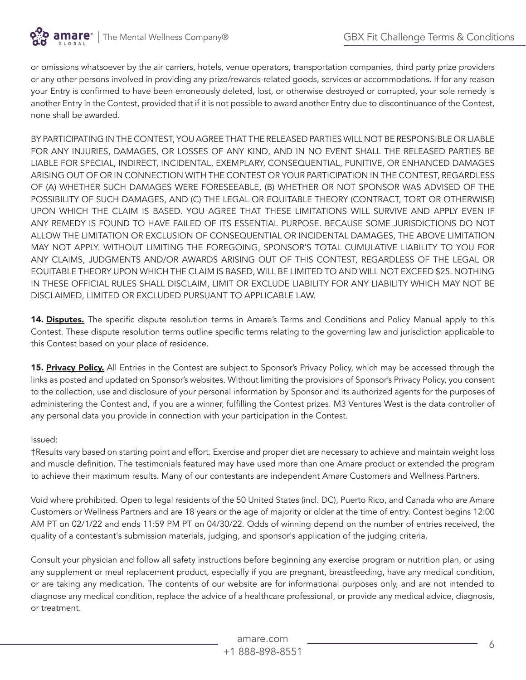

or omissions whatsoever by the air carriers, hotels, venue operators, transportation companies, third party prize providers or any other persons involved in providing any prize/rewards-related goods, services or accommodations. If for any reason your Entry is confirmed to have been erroneously deleted, lost, or otherwise destroyed or corrupted, your sole remedy is another Entry in the Contest, provided that if it is not possible to award another Entry due to discontinuance of the Contest, none shall be awarded.

BY PARTICIPATING IN THE CONTEST, YOU AGREE THAT THE RELEASED PARTIES WILL NOT BE RESPONSIBLE OR LIABLE FOR ANY INJURIES, DAMAGES, OR LOSSES OF ANY KIND, AND IN NO EVENT SHALL THE RELEASED PARTIES BE LIABLE FOR SPECIAL, INDIRECT, INCIDENTAL, EXEMPLARY, CONSEQUENTIAL, PUNITIVE, OR ENHANCED DAMAGES ARISING OUT OF OR IN CONNECTION WITH THE CONTEST OR YOUR PARTICIPATION IN THE CONTEST, REGARDLESS OF (A) WHETHER SUCH DAMAGES WERE FORESEEABLE, (B) WHETHER OR NOT SPONSOR WAS ADVISED OF THE POSSIBILITY OF SUCH DAMAGES, AND (C) THE LEGAL OR EQUITABLE THEORY (CONTRACT, TORT OR OTHERWISE) UPON WHICH THE CLAIM IS BASED. YOU AGREE THAT THESE LIMITATIONS WILL SURVIVE AND APPLY EVEN IF ANY REMEDY IS FOUND TO HAVE FAILED OF ITS ESSENTIAL PURPOSE. BECAUSE SOME JURISDICTIONS DO NOT ALLOW THE LIMITATION OR EXCLUSION OF CONSEQUENTIAL OR INCIDENTAL DAMAGES, THE ABOVE LIMITATION MAY NOT APPLY. WITHOUT LIMITING THE FOREGOING, SPONSOR'S TOTAL CUMULATIVE LIABILITY TO YOU FOR ANY CLAIMS, JUDGMENTS AND/OR AWARDS ARISING OUT OF THIS CONTEST, REGARDLESS OF THE LEGAL OR EQUITABLE THEORY UPON WHICH THE CLAIM IS BASED, WILL BE LIMITED TO AND WILL NOT EXCEED \$25. NOTHING IN THESE OFFICIAL RULES SHALL DISCLAIM, LIMIT OR EXCLUDE LIABILITY FOR ANY LIABILITY WHICH MAY NOT BE DISCLAIMED, LIMITED OR EXCLUDED PURSUANT TO APPLICABLE LAW.

14. Disputes. The specific dispute resolution terms in Amare's Terms and Conditions and Policy Manual apply to this Contest. These dispute resolution terms outline specific terms relating to the governing law and jurisdiction applicable to this Contest based on your place of residence.

15. Privacy Policy. All Entries in the Contest are subject to Sponsor's Privacy Policy, which may be accessed through the links as posted and updated on Sponsor's websites. Without limiting the provisions of Sponsor's Privacy Policy, you consent to the collection, use and disclosure of your personal information by Sponsor and its authorized agents for the purposes of administering the Contest and, if you are a winner, fulfilling the Contest prizes. M3 Ventures West is the data controller of any personal data you provide in connection with your participation in the Contest.

#### Issued:

†Results vary based on starting point and effort. Exercise and proper diet are necessary to achieve and maintain weight loss and muscle definition. The testimonials featured may have used more than one Amare product or extended the program to achieve their maximum results. Many of our contestants are independent Amare Customers and Wellness Partners.

Void where prohibited. Open to legal residents of the 50 United States (incl. DC), Puerto Rico, and Canada who are Amare Customers or Wellness Partners and are 18 years or the age of majority or older at the time of entry. Contest begins 12:00 AM PT on 02/1/22 and ends 11:59 PM PT on 04/30/22. Odds of winning depend on the number of entries received, the quality of a contestant's submission materials, judging, and sponsor's application of the judging criteria.

Consult your physician and follow all safety instructions before beginning any exercise program or nutrition plan, or using any supplement or meal replacement product, especially if you are pregnant, breastfeeding, have any medical condition, or are taking any medication. The contents of our website are for informational purposes only, and are not intended to diagnose any medical condition, replace the advice of a healthcare professional, or provide any medical advice, diagnosis, or treatment.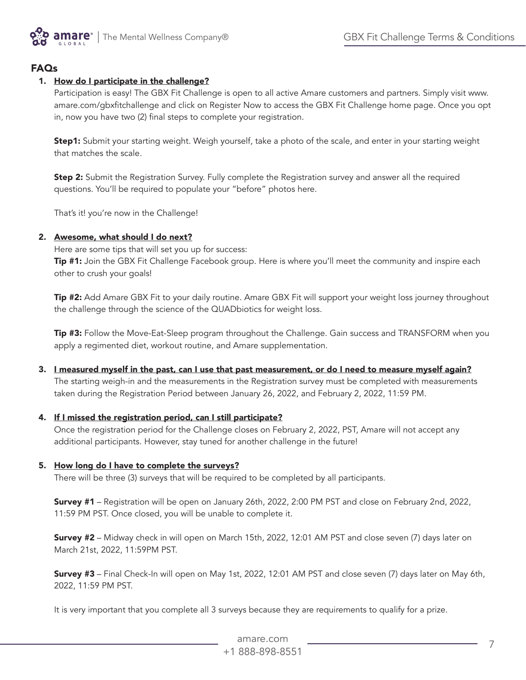

# FAQs

# 1. How do I participate in the challenge?

Participation is easy! The GBX Fit Challenge is open to all active Amare customers and partners. Simply visit www. amare.com/gbxfitchallenge and click on Register Now to access the GBX Fit Challenge home page. Once you opt in, now you have two (2) final steps to complete your registration.

Step1: Submit your starting weight. Weigh yourself, take a photo of the scale, and enter in your starting weight that matches the scale.

**Step 2:** Submit the Registration Survey. Fully complete the Registration survey and answer all the required questions. You'll be required to populate your "before" photos here.

That's it! you're now in the Challenge!

#### 2. Awesome, what should I do next?

Here are some tips that will set you up for success:

Tip #1: Join the GBX Fit Challenge Facebook group. Here is where you'll meet the community and inspire each other to crush your goals!

Tip #2: Add Amare GBX Fit to your daily routine. Amare GBX Fit will support your weight loss journey throughout the challenge through the science of the QUADbiotics for weight loss.

**Tip #3:** Follow the Move-Eat-Sleep program throughout the Challenge. Gain success and TRANSFORM when you apply a regimented diet, workout routine, and Amare supplementation.

3. I measured myself in the past, can I use that past measurement, or do I need to measure myself again?

The starting weigh-in and the measurements in the Registration survey must be completed with measurements taken during the Registration Period between January 26, 2022, and February 2, 2022, 11:59 PM.

#### 4. If I missed the registration period, can I still participate?

Once the registration period for the Challenge closes on February 2, 2022, PST, Amare will not accept any additional participants. However, stay tuned for another challenge in the future!

#### 5. How long do I have to complete the surveys?

There will be three (3) surveys that will be required to be completed by all participants.

Survey #1 – Registration will be open on January 26th, 2022, 2:00 PM PST and close on February 2nd, 2022, 11:59 PM PST. Once closed, you will be unable to complete it.

Survey #2 - Midway check in will open on March 15th, 2022, 12:01 AM PST and close seven (7) days later on March 21st, 2022, 11:59PM PST.

Survey #3 – Final Check-In will open on May 1st, 2022, 12:01 AM PST and close seven (7) days later on May 6th, 2022, 11:59 PM PST.

It is very important that you complete all 3 surveys because they are requirements to qualify for a prize.